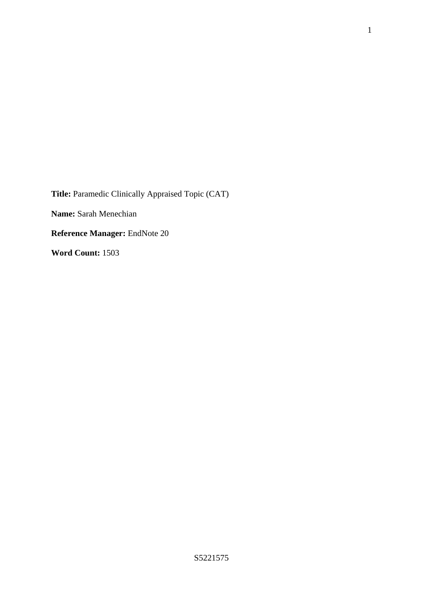**Title:** Paramedic Clinically Appraised Topic (CAT) **Name:** Sarah Menechian **Reference Manager:** EndNote 20

**Word Count:** 1503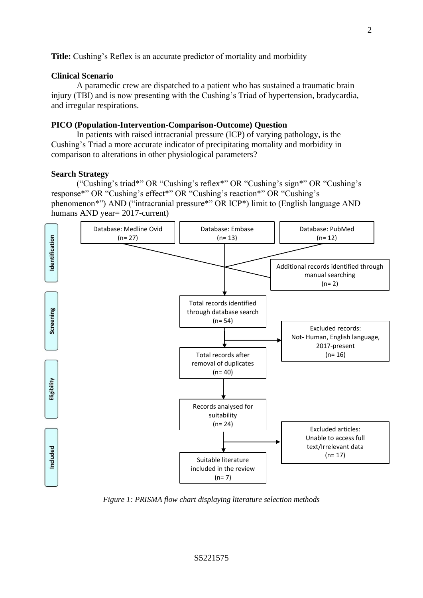**Title:** Cushing's Reflex is an accurate predictor of mortality and morbidity

# **Clinical Scenario**

A paramedic crew are dispatched to a patient who has sustained a traumatic brain injury (TBI) and is now presenting with the Cushing's Triad of hypertension, bradycardia, and irregular respirations.

#### **PICO (Population-Intervention-Comparison-Outcome) Question**

In patients with raised intracranial pressure (ICP) of varying pathology, is the Cushing's Triad a more accurate indicator of precipitating mortality and morbidity in comparison to alterations in other physiological parameters?

#### **Search Strategy**

("Cushing's triad\*" OR "Cushing's reflex\*" OR "Cushing's sign\*" OR "Cushing's response\*" OR "Cushing's effect\*" OR "Cushing's reaction\*" OR "Cushing's phenomenon\*") AND ("intracranial pressure\*" OR ICP\*) limit to (English language AND humans AND year= 2017-current)



*Figure 1: PRISMA flow chart displaying literature selection methods*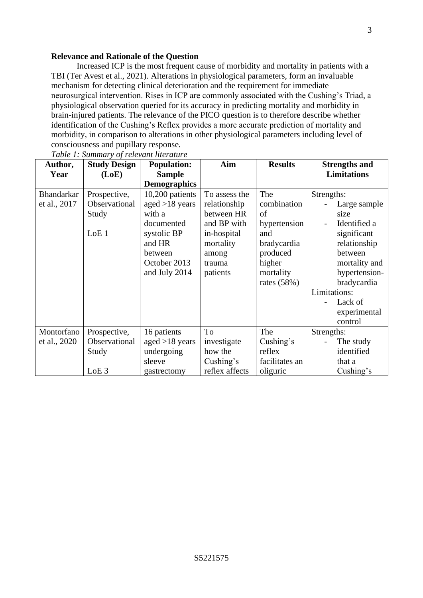### **Relevance and Rationale of the Question**

Increased ICP is the most frequent cause of morbidity and mortality in patients with a TBI (Ter Avest et al., 2021). Alterations in physiological parameters, form an invaluable mechanism for detecting clinical deterioration and the requirement for immediate neurosurgical intervention. Rises in ICP are commonly associated with the Cushing's Triad, a physiological observation queried for its accuracy in predicting mortality and morbidity in brain-injured patients. The relevance of the PICO question is to therefore describe whether identification of the Cushing's Reflex provides a more accurate prediction of mortality and morbidity, in comparison to alterations in other physiological parameters including level of consciousness and pupillary response.

| Author,           | <b>Study Design</b> | <b>Population:</b>  | Aim            | <b>Results</b> | <b>Strengths and</b> |
|-------------------|---------------------|---------------------|----------------|----------------|----------------------|
| Year              | (LoE)               | <b>Sample</b>       |                |                | <b>Limitations</b>   |
|                   |                     | <b>Demographics</b> |                |                |                      |
| <b>Bhandarkar</b> | Prospective,        | 10,200 patients     | To assess the  | The            | Strengths:           |
| et al., 2017      | Observational       | aged $>18$ years    | relationship   | combination    | Large sample         |
|                   | Study               | with a              | between HR     | of             | size                 |
|                   |                     | documented          | and BP with    | hypertension   | Identified a         |
|                   | LoE <sub>1</sub>    | systolic BP         | in-hospital    | and            | significant          |
|                   |                     | and HR              | mortality      | bradycardia    | relationship         |
|                   |                     | between             | among          | produced       | between              |
|                   |                     | October 2013        | trauma         | higher         | mortality and        |
|                   |                     | and July 2014       | patients       | mortality      | hypertension-        |
|                   |                     |                     |                | rates $(58%)$  | bradycardia          |
|                   |                     |                     |                |                | Limitations:         |
|                   |                     |                     |                |                | Lack of              |
|                   |                     |                     |                |                | experimental         |
|                   |                     |                     |                |                | control              |
| Montorfano        | Prospective,        | 16 patients         | To             | The            | Strengths:           |
| et al., 2020      | Observational       | aged $>18$ years    | investigate    | Cushing's      | The study            |
|                   | Study               | undergoing          | how the        | reflex         | identified           |
|                   |                     | sleeve              | Cushing's      | facilitates an | that a               |
|                   | LoE <sub>3</sub>    | gastrectomy         | reflex affects | oliguric       | Cushing's            |

*Table 1: Summary of relevant literature*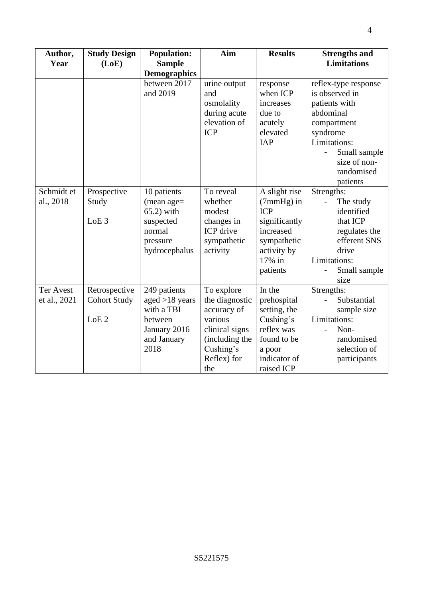| Author,<br>Year  | <b>Study Design</b><br>(LoE) | <b>Population:</b><br><b>Sample</b><br><b>Demographics</b> | Aim                              | <b>Results</b>          | <b>Strengths and</b><br><b>Limitations</b> |
|------------------|------------------------------|------------------------------------------------------------|----------------------------------|-------------------------|--------------------------------------------|
|                  |                              | between 2017                                               | urine output                     | response                | reflex-type response                       |
|                  |                              | and 2019                                                   | and                              | when ICP                | is observed in                             |
|                  |                              |                                                            | osmolality                       | increases               | patients with                              |
|                  |                              |                                                            | during acute                     | due to                  | abdominal                                  |
|                  |                              |                                                            | elevation of                     | acutely                 | compartment                                |
|                  |                              |                                                            | <b>ICP</b>                       | elevated                | syndrome                                   |
|                  |                              |                                                            |                                  | <b>IAP</b>              | Limitations:                               |
|                  |                              |                                                            |                                  |                         | Small sample                               |
|                  |                              |                                                            |                                  |                         | size of non-                               |
|                  |                              |                                                            |                                  |                         | randomised                                 |
|                  |                              |                                                            |                                  |                         | patients                                   |
| Schmidt et       | Prospective                  | 10 patients                                                | To reveal                        | A slight rise           | Strengths:                                 |
| al., 2018        | Study                        | $(mean age =$                                              | whether                          | $(7mmHg)$ in            | The study                                  |
|                  |                              | 65.2) with                                                 | modest                           | <b>ICP</b>              | identified                                 |
|                  | LoE <sub>3</sub>             | suspected                                                  | changes in                       | significantly           | that ICP                                   |
|                  |                              | normal                                                     | ICP drive                        | increased               | regulates the                              |
|                  |                              | pressure                                                   | sympathetic                      | sympathetic             | efferent SNS                               |
|                  |                              | hydrocephalus                                              | activity                         | activity by             | drive                                      |
|                  |                              |                                                            |                                  | 17% in                  | Limitations:                               |
|                  |                              |                                                            |                                  | patients                | Small sample                               |
|                  |                              |                                                            |                                  |                         | size                                       |
| <b>Ter Avest</b> | Retrospective                | 249 patients                                               | To explore                       | In the                  | Strengths:                                 |
| et al., 2021     | <b>Cohort Study</b>          | aged $>18$ years                                           | the diagnostic                   | prehospital             | Substantial                                |
|                  |                              | with a TBI                                                 | accuracy of                      | setting, the            | sample size                                |
|                  | LoE <sub>2</sub>             | between                                                    | various                          | Cushing's<br>reflex was | Limitations:<br>Non-                       |
|                  |                              | January 2016<br>and January                                | clinical signs<br>(including the | found to be             | randomised                                 |
|                  |                              | 2018                                                       | Cushing's                        |                         | selection of                               |
|                  |                              |                                                            | Reflex) for                      | a poor<br>indicator of  | participants                               |
|                  |                              |                                                            | the                              | raised ICP              |                                            |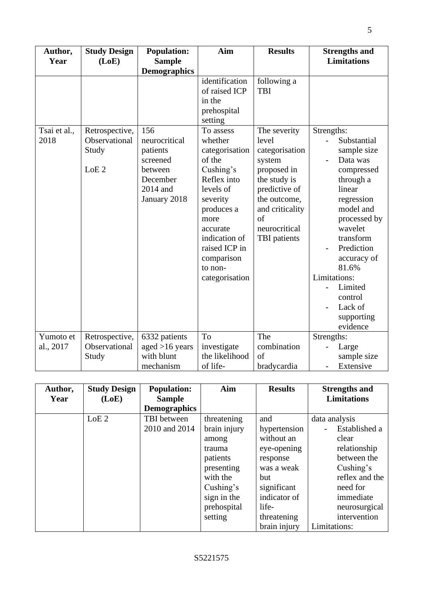| Author,<br>Year        | <b>Study Design</b><br>(LoE)                                 | <b>Population:</b><br><b>Sample</b>                                                                                    | Aim                                                                                                                                                                                                                                                                                         | <b>Results</b>                                                                                                                                                                                           | <b>Strengths and</b><br><b>Limitations</b>                                                                                                                                                                         |
|------------------------|--------------------------------------------------------------|------------------------------------------------------------------------------------------------------------------------|---------------------------------------------------------------------------------------------------------------------------------------------------------------------------------------------------------------------------------------------------------------------------------------------|----------------------------------------------------------------------------------------------------------------------------------------------------------------------------------------------------------|--------------------------------------------------------------------------------------------------------------------------------------------------------------------------------------------------------------------|
| Tsai et al.,<br>2018   | Retrospective,<br>Observational<br>Study<br>LoE <sub>2</sub> | <b>Demographics</b><br>156<br>neurocritical<br>patients<br>screened<br>between<br>December<br>2014 and<br>January 2018 | identification<br>of raised ICP<br>in the<br>prehospital<br>setting<br>To assess<br>whether<br>categorisation<br>of the<br>Cushing's<br>Reflex into<br>levels of<br>severity<br>produces a<br>more<br>accurate<br>indication of<br>raised ICP in<br>comparison<br>to non-<br>categorisation | following a<br><b>TBI</b><br>The severity<br>level<br>categorisation<br>system<br>proposed in<br>the study is<br>predictive of<br>the outcome,<br>and criticality<br>of<br>neurocritical<br>TBI patients | Strengths:<br>Substantial<br>sample size<br>Data was<br>compressed<br>through a<br>linear<br>regression<br>model and<br>processed by<br>wavelet<br>transform<br>Prediction<br>accuracy of<br>81.6%<br>Limitations: |
|                        |                                                              |                                                                                                                        |                                                                                                                                                                                                                                                                                             |                                                                                                                                                                                                          | Limited<br>control<br>Lack of<br>supporting<br>evidence                                                                                                                                                            |
| Yumoto et<br>al., 2017 | Retrospective,<br>Observational<br>Study                     | 6332 patients<br>aged $>16$ years<br>with blunt<br>mechanism                                                           | To<br>investigate<br>the likelihood<br>of life-                                                                                                                                                                                                                                             | The<br>combination<br>of<br>bradycardia                                                                                                                                                                  | Strengths:<br>Large<br>sample size<br>Extensive                                                                                                                                                                    |

| Author, | <b>Study Design</b> | <b>Population:</b>  | Aim          | <b>Results</b> | <b>Strengths and</b> |
|---------|---------------------|---------------------|--------------|----------------|----------------------|
| Year    | (LoE)               | <b>Sample</b>       |              |                | <b>Limitations</b>   |
|         |                     | <b>Demographics</b> |              |                |                      |
|         | LoE <sub>2</sub>    | TBI between         | threatening  | and            | data analysis        |
|         |                     | 2010 and 2014       | brain injury | hypertension   | Established a        |
|         |                     |                     | among        | without an     | clear                |
|         |                     |                     | trauma       | eye-opening    | relationship         |
|         |                     |                     | patients     | response       | between the          |
|         |                     |                     | presenting   | was a weak     | Cushing's            |
|         |                     |                     | with the     | but            | reflex and the       |
|         |                     |                     | Cushing's    | significant    | need for             |
|         |                     |                     | sign in the  | indicator of   | immediate            |
|         |                     |                     | prehospital  | life-          | neurosurgical        |
|         |                     |                     | setting      | threatening    | intervention         |
|         |                     |                     |              | brain injury   | Limitations:         |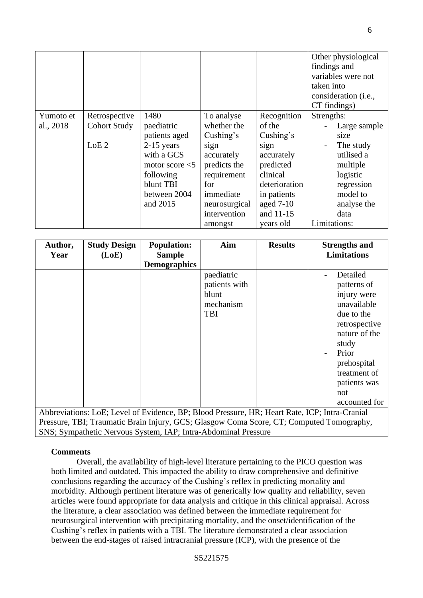|           |                     |                   |               |               | Other physiological  |
|-----------|---------------------|-------------------|---------------|---------------|----------------------|
|           |                     |                   |               |               | findings and         |
|           |                     |                   |               |               | variables were not   |
|           |                     |                   |               |               | taken into           |
|           |                     |                   |               |               | consideration (i.e., |
|           |                     |                   |               |               | CT findings)         |
| Yumoto et | Retrospective       | 1480              | To analyse    | Recognition   | Strengths:           |
| al., 2018 | <b>Cohort Study</b> | paediatric        | whether the   | of the        | Large sample         |
|           |                     | patients aged     | Cushing's     | Cushing's     | size                 |
|           | LoE <sub>2</sub>    | $2-15$ years      | sign          | sign          | The study            |
|           |                     | with a GCS        | accurately    | accurately    | utilised a           |
|           |                     | motor score $<$ 5 | predicts the  | predicted     | multiple             |
|           |                     | following         | requirement   | clinical      | logistic             |
|           |                     | blunt TBI         | for           | deterioration | regression           |
|           |                     | between 2004      | immediate     | in patients   | model to             |
|           |                     | and 2015          | neurosurgical | aged $7-10$   | analyse the          |
|           |                     |                   | intervention  | and 11-15     | data                 |
|           |                     |                   | amongst       | years old     | Limitations:         |

| Author,                                                                                                                                                                                   | <b>Study Design</b> | <b>Population:</b>                   | Aim                                                             | <b>Results</b> | <b>Strengths and</b>                                                                                                                                                                           |  |
|-------------------------------------------------------------------------------------------------------------------------------------------------------------------------------------------|---------------------|--------------------------------------|-----------------------------------------------------------------|----------------|------------------------------------------------------------------------------------------------------------------------------------------------------------------------------------------------|--|
| Year                                                                                                                                                                                      | (LoE)               | <b>Sample</b><br><b>Demographics</b> |                                                                 |                | <b>Limitations</b>                                                                                                                                                                             |  |
|                                                                                                                                                                                           |                     |                                      | paediatric<br>patients with<br>blunt<br>mechanism<br><b>TBI</b> |                | Detailed<br>patterns of<br>injury were<br>unavailable<br>due to the<br>retrospective<br>nature of the<br>study<br>Prior<br>prehospital<br>treatment of<br>patients was<br>not<br>accounted for |  |
| Abbreviations: LoE; Level of Evidence, BP; Blood Pressure, HR; Heart Rate, ICP; Intra-Cranial<br>Pressure, TBI; Traumatic Brain Injury, GCS; Glasgow Coma Score, CT; Computed Tomography, |                     |                                      |                                                                 |                |                                                                                                                                                                                                |  |

SNS; Sympathetic Nervous System, IAP; Intra-Abdominal Pressure

## **Comments**

Overall, the availability of high-level literature pertaining to the PICO question was both limited and outdated. This impacted the ability to draw comprehensive and definitive conclusions regarding the accuracy of the Cushing's reflex in predicting mortality and morbidity. Although pertinent literature was of generically low quality and reliability, seven articles were found appropriate for data analysis and critique in this clinical appraisal. Across the literature, a clear association was defined between the immediate requirement for neurosurgical intervention with precipitating mortality, and the onset/identification of the Cushing's reflex in patients with a TBI. The literature demonstrated a clear association between the end-stages of raised intracranial pressure (ICP), with the presence of the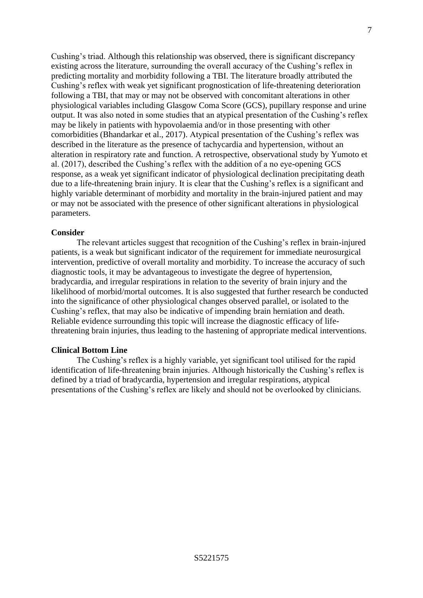Cushing's triad. Although this relationship was observed, there is significant discrepancy existing across the literature, surrounding the overall accuracy of the Cushing's reflex in predicting mortality and morbidity following a TBI. The literature broadly attributed the Cushing's reflex with weak yet significant prognostication of life-threatening deterioration following a TBI, that may or may not be observed with concomitant alterations in other physiological variables including Glasgow Coma Score (GCS), pupillary response and urine output. It was also noted in some studies that an atypical presentation of the Cushing's reflex may be likely in patients with hypovolaemia and/or in those presenting with other comorbidities (Bhandarkar et al., 2017). Atypical presentation of the Cushing's reflex was described in the literature as the presence of tachycardia and hypertension, without an alteration in respiratory rate and function. A retrospective, observational study by Yumoto et al. (2017), described the Cushing's reflex with the addition of a no eye-opening GCS response, as a weak yet significant indicator of physiological declination precipitating death due to a life-threatening brain injury. It is clear that the Cushing's reflex is a significant and highly variable determinant of morbidity and mortality in the brain-injured patient and may or may not be associated with the presence of other significant alterations in physiological parameters.

### **Consider**

The relevant articles suggest that recognition of the Cushing's reflex in brain-injured patients, is a weak but significant indicator of the requirement for immediate neurosurgical intervention, predictive of overall mortality and morbidity. To increase the accuracy of such diagnostic tools, it may be advantageous to investigate the degree of hypertension, bradycardia, and irregular respirations in relation to the severity of brain injury and the likelihood of morbid/mortal outcomes. It is also suggested that further research be conducted into the significance of other physiological changes observed parallel, or isolated to the Cushing's reflex, that may also be indicative of impending brain herniation and death. Reliable evidence surrounding this topic will increase the diagnostic efficacy of lifethreatening brain injuries, thus leading to the hastening of appropriate medical interventions.

## **Clinical Bottom Line**

The Cushing's reflex is a highly variable, yet significant tool utilised for the rapid identification of life-threatening brain injuries. Although historically the Cushing's reflex is defined by a triad of bradycardia, hypertension and irregular respirations, atypical presentations of the Cushing's reflex are likely and should not be overlooked by clinicians.